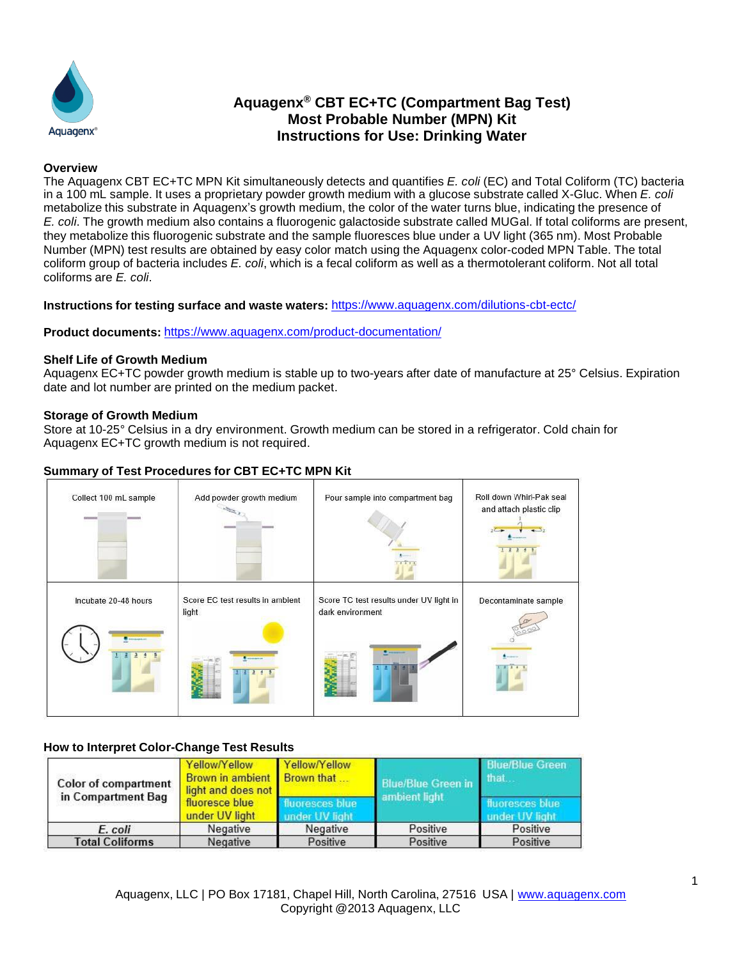

# **Aquagenx ® CBT EC+TC (Compartment Bag Test) Most Probable Number (MPN) Kit Instructions for Use: Drinking Water**

#### **Overview**

The Aquagenx CBT EC+TC MPN Kit simultaneously detects and quantifies *E. coli* (EC) and Total Coliform (TC) bacteria in a 100 mL sample. It uses a proprietary powder growth medium with a glucose substrate called X-Gluc. When *E. coli* metabolize this substrate in Aquagenx's growth medium, the color of the water turns blue, indicating the presence of *E. coli*. The growth medium also contains a fluorogenic galactoside substrate called MUGal. If total coliforms are present, they metabolize this fluorogenic substrate and the sample fluoresces blue under a UV light (365 nm). Most Probable Number (MPN) test results are obtained by easy color match using the Aquagenx color-coded MPN Table. The total coliform group of bacteria includes *E. coli*, which is a fecal coliform as well as a thermotolerant coliform. Not all total coliforms are *E. coli*.

**Instructions for testing surface and waste waters:** <https://www.aquagenx.com/dilutions-cbt-ectc/>

**Product documents:** <https://www.aquagenx.com/product-documentation/>

#### **Shelf Life of Growth Medium**

Aquagenx EC+TC powder growth medium is stable up to two-years after date of manufacture at 25° Celsius. Expiration date and lot number are printed on the medium packet.

#### **Storage of Growth Medium**

Store at 10-25° Celsius in a dry environment. Growth medium can be stored in a refrigerator. Cold chain for Aquagenx EC+TC growth medium is not required.

## **Summary of Test Procedures for CBT EC+TC MPN Kit**



## **How to Interpret Color-Change Test Results**

| <b>Color of compartment</b><br>in Compartment Bag | Yellow/Yellow<br>Brown in ambient Brown that<br>light and does not | Yellow/Yellow                | <b>Blue/Blue Green in</b> | <b>Blue/Blue Green</b><br>that         |
|---------------------------------------------------|--------------------------------------------------------------------|------------------------------|---------------------------|----------------------------------------|
|                                                   | fluoresce blue<br>under UV light                                   | oresces blue<br>der UV light | ambient light             | uoresces blue<br><b>Inder UV light</b> |
| E. coli                                           | Negative                                                           | Negative                     | Positive                  | Positive                               |
| <b>Total Coliforms</b>                            | Negative                                                           | Positive                     | Positive                  | Positive                               |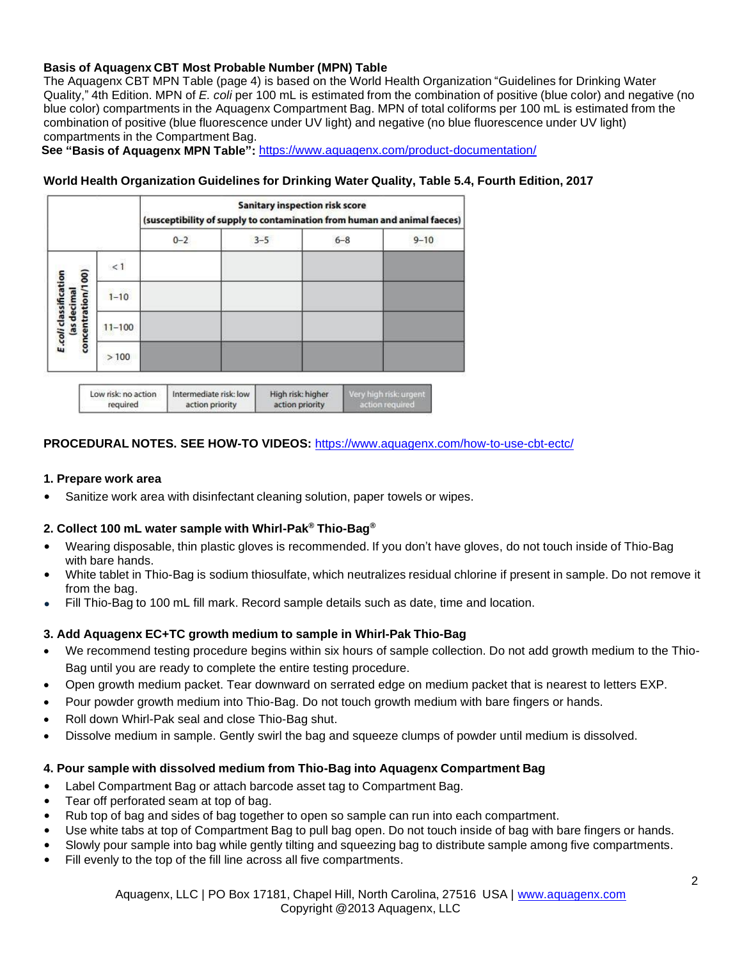## **Basis of Aquagenx CBT Most Probable Number (MPN) Table**

The Aquagenx CBT MPN Table (page 4) is based on the World Health Organization "Guidelines for Drinking Water Quality," 4th Edition. MPN of *E. coli* per 100 mL is estimated from the combination of positive (blue color) and negative (no blue color) compartments in the Aquagenx Compartment Bag. MPN of total coliforms per 100 mL is estimated from the combination of positive (blue fluorescence under UV light) and negative (no blue fluorescence under UV light) compartments in the Compartment Bag.

**See "Basis of Aquagenx MPN Table":** <https://www.aquagenx.com/product-documentation/>

## **World Health Organization Guidelines for Drinking Water Quality, Table 5.4, Fourth Edition, 2017**

|                                             |                     | <b>Sanitary inspection risk score</b><br>(susceptibility of supply to contamination from human and animal faeces) |                        |  |                                      |  |                                           |          |
|---------------------------------------------|---------------------|-------------------------------------------------------------------------------------------------------------------|------------------------|--|--------------------------------------|--|-------------------------------------------|----------|
|                                             |                     |                                                                                                                   | $0 - 2$                |  | $3 - 5$                              |  | $6 - 8$                                   | $9 - 10$ |
| concentration/100)<br>E.coli classification | <1                  |                                                                                                                   |                        |  |                                      |  |                                           |          |
|                                             | $1 - 10$            |                                                                                                                   |                        |  |                                      |  |                                           |          |
| as decimal                                  | $11 - 100$          |                                                                                                                   |                        |  |                                      |  |                                           |          |
|                                             | >100                |                                                                                                                   |                        |  |                                      |  |                                           |          |
|                                             | Low risk: no action |                                                                                                                   | Intermediate risk: low |  |                                      |  |                                           |          |
|                                             | required            |                                                                                                                   | action priority        |  | High risk: higher<br>action priority |  | Very high risk: urgent<br>action required |          |

## **PROCEDURAL NOTES. SEE HOW-TO VIDEOS:** <https://www.aquagenx.com/how-to-use-cbt-ectc/>

#### **1. Prepare work area**

• Sanitize work area with disinfectant cleaning solution, paper towels or wipes.

## **2. Collect 100 mL water sample with Whirl-Pak ® Thio-Bag ®**

- Wearing disposable, thin plastic gloves is recommended. If you don't have gloves, do not touch inside of Thio-Bag with bare hands.
- White tablet in Thio-Bag is sodium thiosulfate, which neutralizes residual chlorine if present in sample. Do not remove it from the bag.

action required

• Fill Thio-Bag to 100 mL fill mark. Record sample details such as date, time and location.

## **3. Add Aquagenx EC+TC growth medium to sample in Whirl-Pak Thio-Bag**

- We recommend testing procedure begins within six hours of sample collection. Do not add growth medium to the Thio-Bag until you are ready to complete the entire testing procedure.
- Open growth medium packet. Tear downward on serrated edge on medium packet that is nearest to letters EXP.
- Pour powder growth medium into Thio-Bag. Do not touch growth medium with bare fingers or hands.
- Roll down Whirl-Pak seal and close Thio-Bag shut.
- Dissolve medium in sample. Gently swirl the bag and squeeze clumps of powder until medium is dissolved.

## **4. Pour sample with dissolved medium from Thio-Bag into Aquagenx Compartment Bag**

- Label Compartment Bag or attach barcode asset tag to Compartment Bag.
- Tear off perforated seam at top of bag.
- Rub top of bag and sides of bag together to open so sample can run into each compartment.
- Use white tabs at top of Compartment Bag to pull bag open. Do not touch inside of bag with bare fingers or hands.
- Slowly pour sample into bag while gently tilting and squeezing bag to distribute sample among five compartments.
- Fill evenly to the top of the fill line across all five compartments.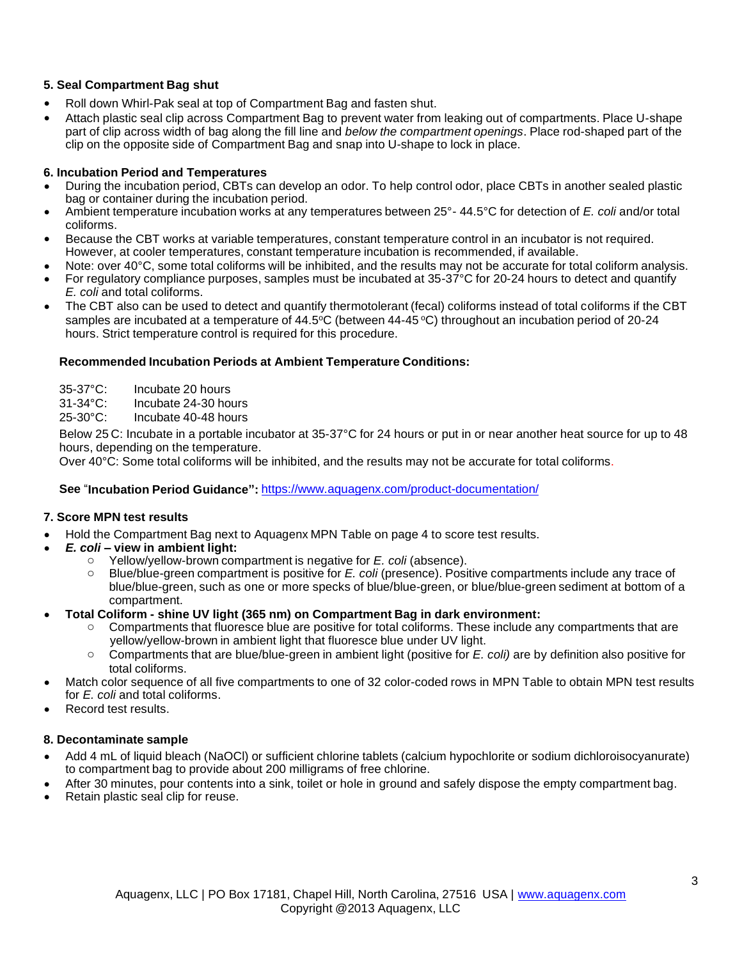## **5. Seal Compartment Bag shut**

- Roll down Whirl-Pak seal at top of Compartment Bag and fasten shut.
- Attach plastic seal clip across Compartment Bag to prevent water from leaking out of compartments. Place U-shape part of clip across width of bag along the fill line and *below the compartment openings*. Place rod-shaped part of the clip on the opposite side of Compartment Bag and snap into U-shape to lock in place.

## **6. Incubation Period and Temperatures**

- During the incubation period, CBTs can develop an odor. To help control odor, place CBTs in another sealed plastic bag or container during the incubation period.
- Ambient temperature incubation works at any temperatures between 25°- 44.5°C for detection of *E. coli* and/or total coliforms.
- Because the CBT works at variable temperatures, constant temperature control in an incubator is not required. However, at cooler temperatures, constant temperature incubation is recommended, if available.
- Note: over 40°C, some total coliforms will be inhibited, and the results may not be accurate for total coliform analysis.
- For regulatory compliance purposes, samples must be incubated at  $35-37^{\circ}$ C for 20-24 hours to detect and quantify *E. coli* and total coliforms.
- The CBT also can be used to detect and quantify thermotolerant (fecal) coliforms instead of total coliforms if the CBT samples are incubated at a temperature of 44.5°C (between 44-45 °C) throughout an incubation period of 20-24 hours. Strict temperature control is required for this procedure.

## **Recommended Incubation Periods at Ambient Temperature Conditions:**

35-37°C: Incubate 20 hours

31-34°C: Incubate 24-30 hours

25-30°C: Incubate 40-48 hours

Below 25 C: Incubate in a portable incubator at 35-37°C for 24 hours or put in or near another heat source for up to 48 hours, depending on the temperature.

Over 40°C: Some total coliforms will be inhibited, and the results may not be accurate for total coliforms.

## **See** "**Incubation Period Guidance":** <https://www.aquagenx.com/product-documentation/>

## **7. Score MPN test results**

- Hold the Compartment Bag next to Aquagenx MPN Table on page 4 to score test results.
- **E. coli view in ambient light:**<br>  $\circ$  Yellow/vellow-brown con
	- Yellow/yellow-brown compartment is negative for *E. coli* (absence).
	- o Blue/blue-green compartment is positive for *E. coli* (presence). Positive compartments include any trace of blue/blue-green, such as one or more specks of blue/blue-green, or blue/blue-green sediment at bottom of a compartment.
- **Total Coliform - shine UV light (365 nm) on Compartment Bag in dark environment:**
	- o Compartments that fluoresce blue are positive for total coliforms. These include any compartments that are yellow/yellow-brown in ambient light that fluoresce blue under UV light.
	- o Compartments that are blue/blue-green in ambient light (positive for *E. coli)* are by definition also positive for total coliforms.
- Match color sequence of all five compartments to one of 32 color-coded rows in MPN Table to obtain MPN test results for *E. coli* and total coliforms.
- Record test results.

## **8. Decontaminate sample**

- Add 4 mL of liquid bleach (NaOCl) or sufficient chlorine tablets (calcium hypochlorite or sodium dichloroisocyanurate) to compartment bag to provide about 200 milligrams of free chlorine.
- After 30 minutes, pour contents into a sink, toilet or hole in ground and safely dispose the empty compartment bag.
- Retain plastic seal clip for reuse.